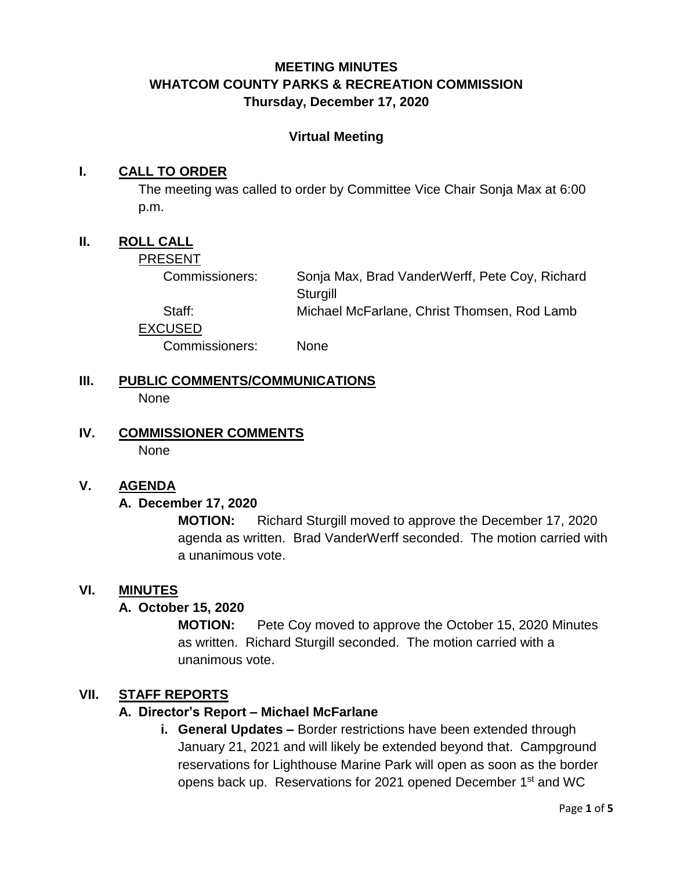# **MEETING MINUTES WHATCOM COUNTY PARKS & RECREATION COMMISSION Thursday, December 17, 2020**

#### **Virtual Meeting**

#### **I. CALL TO ORDER**

The meeting was called to order by Committee Vice Chair Sonja Max at 6:00 p.m.

## **II. ROLL CALL**

PRESENT

Commissioners: Sonja Max, Brad VanderWerff, Pete Coy, Richard **Sturgill** 

Staff: Michael McFarlane, Christ Thomsen, Rod Lamb EXCUSED

Commissioners: None

- **III. PUBLIC COMMENTS/COMMUNICATIONS None**
- **IV. COMMISSIONER COMMENTS** None

#### **V. AGENDA**

#### **A. December 17, 2020**

**MOTION:** Richard Sturgill moved to approve the December 17, 2020 agenda as written. Brad VanderWerff seconded. The motion carried with a unanimous vote.

#### **VI. MINUTES**

#### **A. October 15, 2020**

**MOTION:** Pete Coy moved to approve the October 15, 2020 Minutes as written. Richard Sturgill seconded. The motion carried with a unanimous vote.

#### **VII. STAFF REPORTS**

#### **A. Director's Report – Michael McFarlane**

**i. General Updates –** Border restrictions have been extended through January 21, 2021 and will likely be extended beyond that. Campground reservations for Lighthouse Marine Park will open as soon as the border opens back up. Reservations for 2021 opened December 1<sup>st</sup> and WC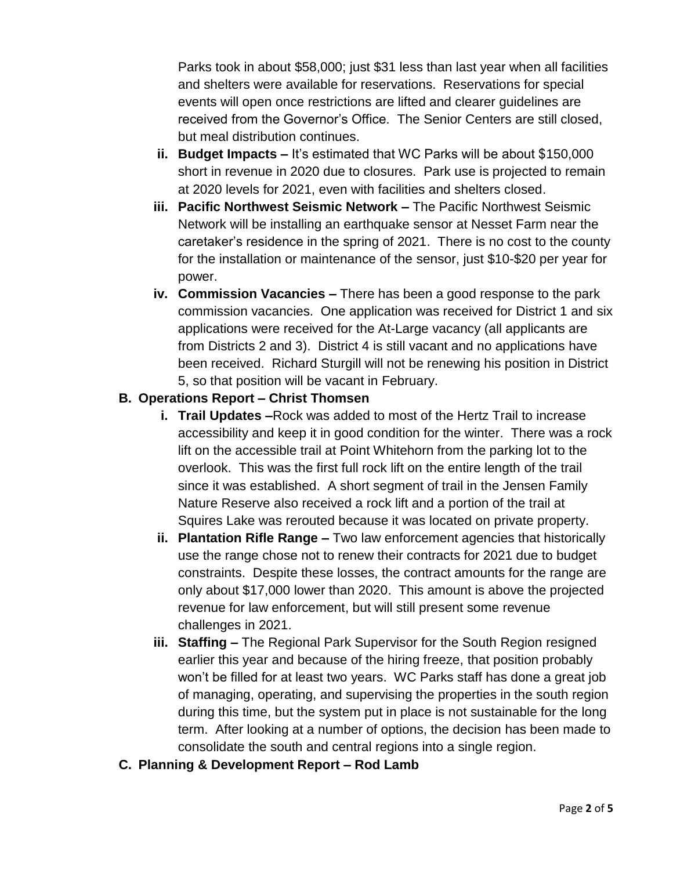Parks took in about \$58,000; just \$31 less than last year when all facilities and shelters were available for reservations. Reservations for special events will open once restrictions are lifted and clearer guidelines are received from the Governor's Office. The Senior Centers are still closed, but meal distribution continues.

- **ii. Budget Impacts –** It's estimated that WC Parks will be about \$150,000 short in revenue in 2020 due to closures. Park use is projected to remain at 2020 levels for 2021, even with facilities and shelters closed.
- **iii. Pacific Northwest Seismic Network –** The Pacific Northwest Seismic Network will be installing an earthquake sensor at Nesset Farm near the caretaker's residence in the spring of 2021. There is no cost to the county for the installation or maintenance of the sensor, just \$10-\$20 per year for power.
- **iv. Commission Vacancies –** There has been a good response to the park commission vacancies. One application was received for District 1 and six applications were received for the At-Large vacancy (all applicants are from Districts 2 and 3). District 4 is still vacant and no applications have been received. Richard Sturgill will not be renewing his position in District 5, so that position will be vacant in February.

#### **B. Operations Report – Christ Thomsen**

- **i. Trail Updates –**Rock was added to most of the Hertz Trail to increase accessibility and keep it in good condition for the winter. There was a rock lift on the accessible trail at Point Whitehorn from the parking lot to the overlook. This was the first full rock lift on the entire length of the trail since it was established. A short segment of trail in the Jensen Family Nature Reserve also received a rock lift and a portion of the trail at Squires Lake was rerouted because it was located on private property.
- **ii. Plantation Rifle Range –** Two law enforcement agencies that historically use the range chose not to renew their contracts for 2021 due to budget constraints. Despite these losses, the contract amounts for the range are only about \$17,000 lower than 2020. This amount is above the projected revenue for law enforcement, but will still present some revenue challenges in 2021.
- **iii. Staffing –** The Regional Park Supervisor for the South Region resigned earlier this year and because of the hiring freeze, that position probably won't be filled for at least two years. WC Parks staff has done a great job of managing, operating, and supervising the properties in the south region during this time, but the system put in place is not sustainable for the long term. After looking at a number of options, the decision has been made to consolidate the south and central regions into a single region.
- **C. Planning & Development Report – Rod Lamb**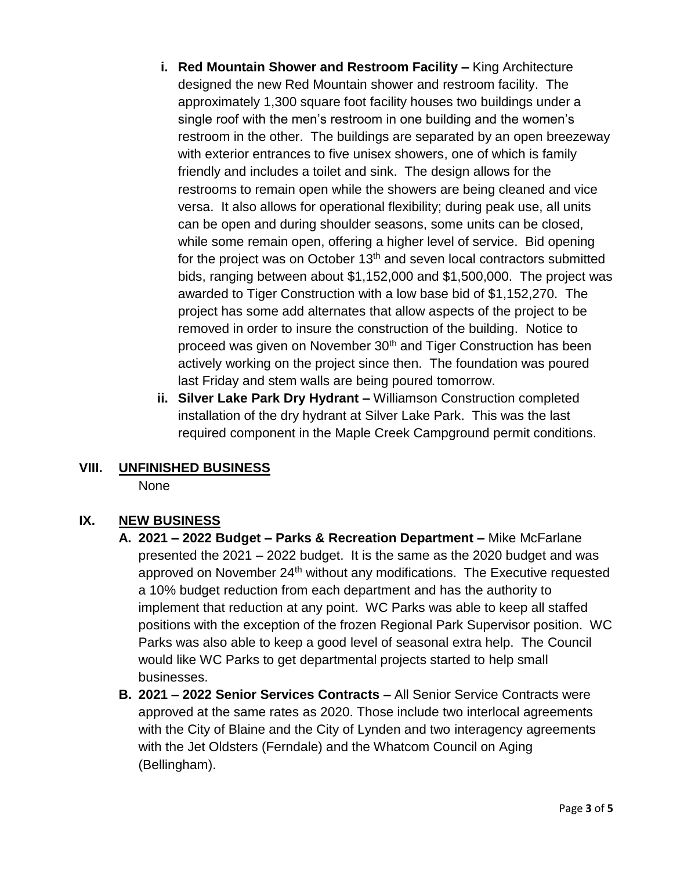- **i. Red Mountain Shower and Restroom Facility –** King Architecture designed the new Red Mountain shower and restroom facility. The approximately 1,300 square foot facility houses two buildings under a single roof with the men's restroom in one building and the women's restroom in the other. The buildings are separated by an open breezeway with exterior entrances to five unisex showers, one of which is family friendly and includes a toilet and sink. The design allows for the restrooms to remain open while the showers are being cleaned and vice versa. It also allows for operational flexibility; during peak use, all units can be open and during shoulder seasons, some units can be closed, while some remain open, offering a higher level of service. Bid opening for the project was on October  $13<sup>th</sup>$  and seven local contractors submitted bids, ranging between about \$1,152,000 and \$1,500,000. The project was awarded to Tiger Construction with a low base bid of \$1,152,270. The project has some add alternates that allow aspects of the project to be removed in order to insure the construction of the building. Notice to proceed was given on November 30<sup>th</sup> and Tiger Construction has been actively working on the project since then. The foundation was poured last Friday and stem walls are being poured tomorrow.
- **ii. Silver Lake Park Dry Hydrant –** Williamson Construction completed installation of the dry hydrant at Silver Lake Park. This was the last required component in the Maple Creek Campground permit conditions.

# **VIII. UNFINISHED BUSINESS**

None

# **IX. NEW BUSINESS**

- **A. 2021 – 2022 Budget – Parks & Recreation Department –** Mike McFarlane presented the 2021 – 2022 budget. It is the same as the 2020 budget and was approved on November 24<sup>th</sup> without any modifications. The Executive requested a 10% budget reduction from each department and has the authority to implement that reduction at any point. WC Parks was able to keep all staffed positions with the exception of the frozen Regional Park Supervisor position. WC Parks was also able to keep a good level of seasonal extra help. The Council would like WC Parks to get departmental projects started to help small businesses.
- **B. 2021 – 2022 Senior Services Contracts –** All Senior Service Contracts were approved at the same rates as 2020. Those include two interlocal agreements with the City of Blaine and the City of Lynden and two interagency agreements with the Jet Oldsters (Ferndale) and the Whatcom Council on Aging (Bellingham).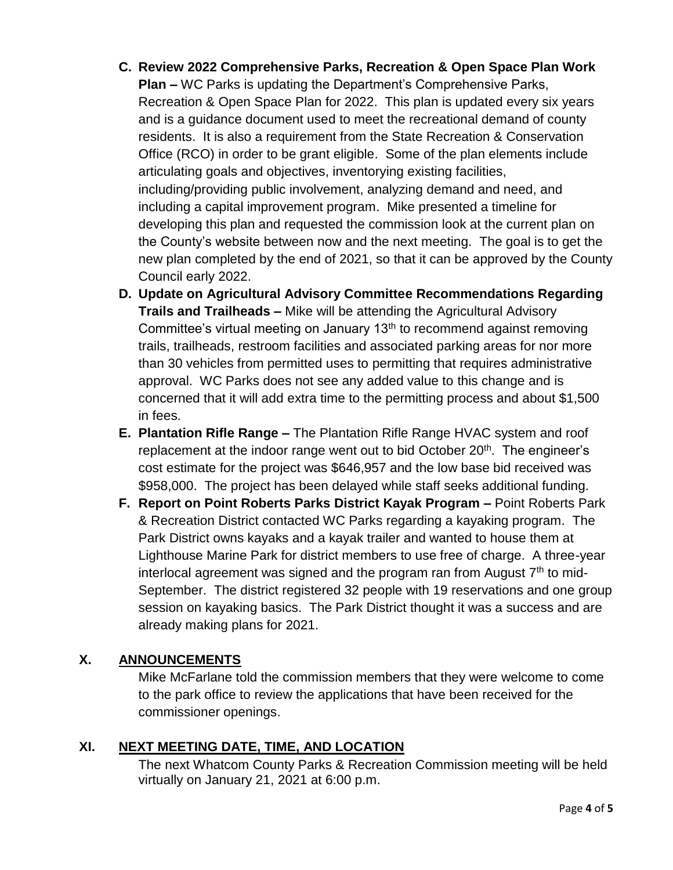- **C. Review 2022 Comprehensive Parks, Recreation & Open Space Plan Work Plan –** WC Parks is updating the Department's Comprehensive Parks, Recreation & Open Space Plan for 2022. This plan is updated every six years and is a guidance document used to meet the recreational demand of county residents. It is also a requirement from the State Recreation & Conservation Office (RCO) in order to be grant eligible. Some of the plan elements include articulating goals and objectives, inventorying existing facilities, including/providing public involvement, analyzing demand and need, and including a capital improvement program. Mike presented a timeline for developing this plan and requested the commission look at the current plan on the County's website between now and the next meeting. The goal is to get the new plan completed by the end of 2021, so that it can be approved by the County Council early 2022.
- **D. Update on Agricultural Advisory Committee Recommendations Regarding Trails and Trailheads –** Mike will be attending the Agricultural Advisory Committee's virtual meeting on January 13<sup>th</sup> to recommend against removing trails, trailheads, restroom facilities and associated parking areas for nor more than 30 vehicles from permitted uses to permitting that requires administrative approval. WC Parks does not see any added value to this change and is concerned that it will add extra time to the permitting process and about \$1,500 in fees.
- **E. Plantation Rifle Range –** The Plantation Rifle Range HVAC system and roof replacement at the indoor range went out to bid October 20<sup>th</sup>. The engineer's cost estimate for the project was \$646,957 and the low base bid received was \$958,000. The project has been delayed while staff seeks additional funding.
- **F. Report on Point Roberts Parks District Kayak Program –** Point Roberts Park & Recreation District contacted WC Parks regarding a kayaking program. The Park District owns kayaks and a kayak trailer and wanted to house them at Lighthouse Marine Park for district members to use free of charge. A three-year interlocal agreement was signed and the program ran from August  $7<sup>th</sup>$  to mid-September. The district registered 32 people with 19 reservations and one group session on kayaking basics. The Park District thought it was a success and are already making plans for 2021.

## **X. ANNOUNCEMENTS**

Mike McFarlane told the commission members that they were welcome to come to the park office to review the applications that have been received for the commissioner openings.

# **XI. NEXT MEETING DATE, TIME, AND LOCATION**

The next Whatcom County Parks & Recreation Commission meeting will be held virtually on January 21, 2021 at 6:00 p.m.